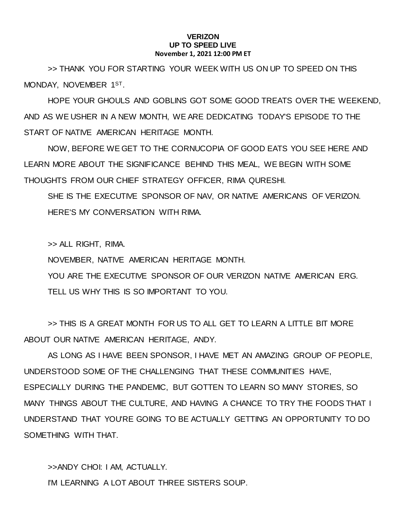## **VERIZON UP TO SPEED LIVE November 1, 2021 12:00 PM ET**

>> THANK YOU FOR STARTING YOUR WEEK WITH US ON UP TO SPEED ON THIS MONDAY, NOVEMBER 1ST.

HOPE YOUR GHOULS AND GOBLINS GOT SOME GOOD TREATS OVER THE WEEKEND, AND AS WE USHER IN A NEW MONTH, WE ARE DEDICATING TODAY'S EPISODE TO THE START OF NATIVE AMERICAN HERITAGE MONTH.

NOW, BEFORE WE GET TO THE CORNUCOPIA OF GOOD EATS YOU SEE HERE AND LEARN MORE ABOUT THE SIGNIFICANCE BEHIND THIS MEAL, WE BEGIN WITH SOME THOUGHTS FROM OUR CHIEF STRATEGY OFFICER, RIMA QURESHI.

SHE IS THE EXECUTIVE SPONSOR OF NAV, OR NATIVE AMERICANS OF VERIZON. HERE'S MY CONVERSATION WITH RIMA.

>> ALL RIGHT, RIMA.

NOVEMBER, NATIVE AMERICAN HERITAGE MONTH.

YOU ARE THE EXECUTIVE SPONSOR OF OUR VERIZON NATIVE AMERICAN ERG. TELL US WHY THIS IS SO IMPORTANT TO YOU.

>> THIS IS A GREAT MONTH FOR US TO ALL GET TO LEARN A LITTLE BIT MORE ABOUT OUR NATIVE AMERICAN HERITAGE, ANDY.

AS LONG AS I HAVE BEEN SPONSOR, I HAVE MET AN AMAZING GROUP OF PEOPLE, UNDERSTOOD SOME OF THE CHALLENGING THAT THESE COMMUNITIES HAVE, ESPECIALLY DURING THE PANDEMIC, BUT GOTTEN TO LEARN SO MANY STORIES, SO MANY THINGS ABOUT THE CULTURE, AND HAVING A CHANCE TO TRY THE FOODS THAT I UNDERSTAND THAT YOU'RE GOING TO BE ACTUALLY GETTING AN OPPORTUNITY TO DO SOMETHING WITH THAT.

>>ANDY CHOI: I AM, ACTUALLY.

I'M LEARNING A LOT ABOUT THREE SISTERS SOUP.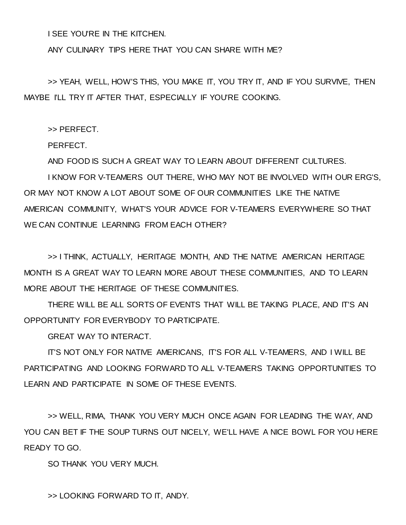I SEE YOU'RE IN THE KITCHEN.

ANY CULINARY TIPS HERE THAT YOU CAN SHARE WITH ME?

>> YEAH, WELL, HOW'S THIS, YOU MAKE IT, YOU TRY IT, AND IF YOU SURVIVE, THEN MAYBE I'LL TRY IT AFTER THAT, ESPECIALLY IF YOU'RE COOKING.

>> PERFECT.

PERFECT.

AND FOOD IS SUCH A GREAT WAY TO LEARN ABOUT DIFFERENT CULTURES.

I KNOW FOR V-TEAMERS OUT THERE, WHO MAY NOT BE INVOLVED WITH OUR ERG'S, OR MAY NOT KNOW A LOT ABOUT SOME OF OUR COMMUNITIES LIKE THE NATIVE AMERICAN COMMUNITY, WHAT'S YOUR ADVICE FOR V-TEAMERS EVERYWHERE SO THAT WE CAN CONTINUE LEARNING FROM EACH OTHER?

>> I THINK, ACTUALLY, HERITAGE MONTH, AND THE NATIVE AMERICAN HERITAGE MONTH IS A GREAT WAY TO LEARN MORE ABOUT THESE COMMUNITIES, AND TO LEARN MORE ABOUT THE HERITAGE OF THESE COMMUNITIES.

THERE WILL BE ALL SORTS OF EVENTS THAT WILL BE TAKING PLACE, AND IT'S AN OPPORTUNITY FOR EVERYBODY TO PARTICIPATE.

GREAT WAY TO INTERACT.

IT'S NOT ONLY FOR NATIVE AMERICANS, IT'S FOR ALL V-TEAMERS, AND I WILL BE PARTICIPATING AND LOOKING FORWARD TO ALL V-TEAMERS TAKING OPPORTUNITIES TO LEARN AND PARTICIPATE IN SOME OF THESE EVENTS.

>> WELL, RIMA, THANK YOU VERY MUCH ONCE AGAIN FOR LEADING THE WAY, AND YOU CAN BET IF THE SOUP TURNS OUT NICELY, WE'LL HAVE A NICE BOWL FOR YOU HERE READY TO GO.

SO THANK YOU VERY MUCH.

>> LOOKING FORWARD TO IT, ANDY.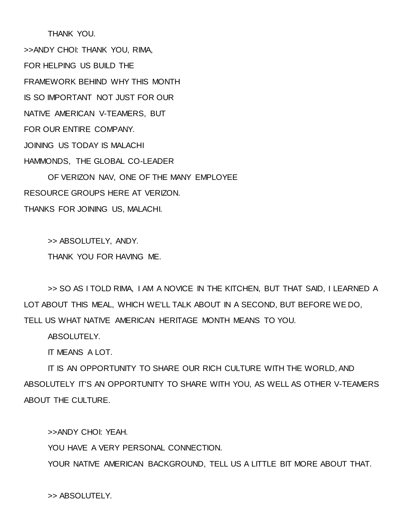THANK YOU. >>ANDY CHOI: THANK YOU, RIMA, FOR HELPING US BUILD THE FRAMEWORK BEHIND WHY THIS MONTH IS SO IMPORTANT NOT JUST FOR OUR NATIVE AMERICAN V-TEAMERS, BUT FOR OUR ENTIRE COMPANY. JOINING US TODAY IS MALACHI HAMMONDS, THE GLOBAL CO-LEADER OF VERIZON NAV, ONE OF THE MANY EMPLOYEE RESOURCE GROUPS HERE AT VERIZON. THANKS FOR JOINING US, MALACHI.

> >> ABSOLUTELY, ANDY. THANK YOU FOR HAVING ME.

>> SO AS I TOLD RIMA, I AM A NOVICE IN THE KITCHEN, BUT THAT SAID, I LEARNED A LOT ABOUT THIS MEAL, WHICH WE'LL TALK ABOUT IN A SECOND, BUT BEFORE WE DO, TELL US WHAT NATIVE AMERICAN HERITAGE MONTH MEANS TO YOU.

ABSOLUTELY.

IT MEANS A LOT.

IT IS AN OPPORTUNITY TO SHARE OUR RICH CULTURE WITH THE WORLD, AND ABSOLUTELY IT'S AN OPPORTUNITY TO SHARE WITH YOU, AS WELL AS OTHER V-TEAMERS ABOUT THE CULTURE.

>>ANDY CHOI: YEAH.

YOU HAVE A VERY PERSONAL CONNECTION.

YOUR NATIVE AMERICAN BACKGROUND, TELL US A LITTLE BIT MORE ABOUT THAT.

>> ABSOLUTELY.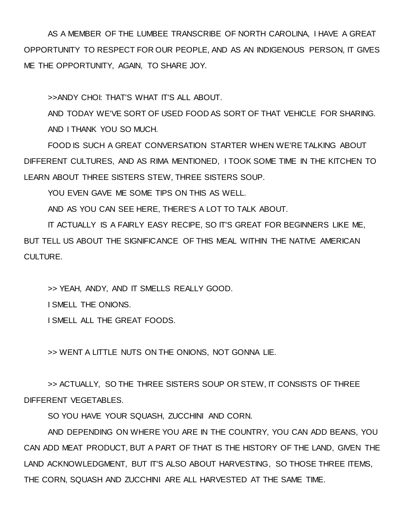AS A MEMBER OF THE LUMBEE TRANSCRIBE OF NORTH CAROLINA, I HAVE A GREAT OPPORTUNITY TO RESPECT FOR OUR PEOPLE, AND AS AN INDIGENOUS PERSON, IT GIVES ME THE OPPORTUNITY, AGAIN, TO SHARE JOY.

>>ANDY CHOI: THAT'S WHAT IT'S ALL ABOUT.

AND TODAY WE'VE SORT OF USED FOOD AS SORT OF THAT VEHICLE FOR SHARING. AND I THANK YOU SO MUCH.

FOOD IS SUCH A GREAT CONVERSATION STARTER WHEN WE'RE TALKING ABOUT DIFFERENT CULTURES, AND AS RIMA MENTIONED, I TOOK SOME TIME IN THE KITCHEN TO LEARN ABOUT THREE SISTERS STEW, THREE SISTERS SOUP.

YOU EVEN GAVE ME SOME TIPS ON THIS AS WELL.

AND AS YOU CAN SEE HERE, THERE'S A LOT TO TALK ABOUT.

IT ACTUALLY IS A FAIRLY EASY RECIPE, SO IT'S GREAT FOR BEGINNERS LIKE ME, BUT TELL US ABOUT THE SIGNIFICANCE OF THIS MEAL WITHIN THE NATIVE AMERICAN CULTURE.

>> YEAH, ANDY, AND IT SMELLS REALLY GOOD.

I SMELL THE ONIONS.

I SMELL ALL THE GREAT FOODS.

>> WENT A LITTLE NUTS ON THE ONIONS, NOT GONNA LIE.

>> ACTUALLY, SO THE THREE SISTERS SOUP OR STEW, IT CONSISTS OF THREE DIFFERENT VEGETABLES.

SO YOU HAVE YOUR SQUASH, ZUCCHINI AND CORN.

AND DEPENDING ON WHERE YOU ARE IN THE COUNTRY, YOU CAN ADD BEANS, YOU CAN ADD MEAT PRODUCT, BUT A PART OF THAT IS THE HISTORY OF THE LAND, GIVEN THE LAND ACKNOWLEDGMENT, BUT IT'S ALSO ABOUT HARVESTING, SO THOSE THREE ITEMS, THE CORN, SQUASH AND ZUCCHINI ARE ALL HARVESTED AT THE SAME TIME.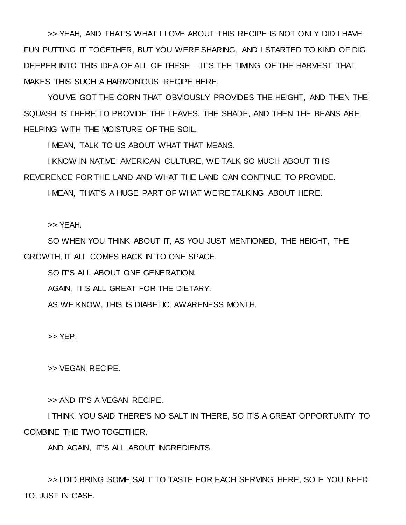>> YEAH, AND THAT'S WHAT I LOVE ABOUT THIS RECIPE IS NOT ONLY DID I HAVE FUN PUTTING IT TOGETHER, BUT YOU WERE SHARING, AND I STARTED TO KIND OF DIG DEEPER INTO THIS IDEA OF ALL OF THESE -- IT'S THE TIMING OF THE HARVEST THAT MAKES THIS SUCH A HARMONIOUS RECIPE HERE.

YOU'VE GOT THE CORN THAT OBVIOUSLY PROVIDES THE HEIGHT, AND THEN THE SQUASH IS THERE TO PROVIDE THE LEAVES, THE SHADE, AND THEN THE BEANS ARE HELPING WITH THE MOISTURE OF THE SOIL.

I MEAN, TALK TO US ABOUT WHAT THAT MEANS.

I KNOW IN NATIVE AMERICAN CULTURE, WE TALK SO MUCH ABOUT THIS REVERENCE FOR THE LAND AND WHAT THE LAND CAN CONTINUE TO PROVIDE.

I MEAN, THAT'S A HUGE PART OF WHAT WE'RE TALKING ABOUT HERE.

>> YEAH.

SO WHEN YOU THINK ABOUT IT, AS YOU JUST MENTIONED, THE HEIGHT, THE GROWTH, IT ALL COMES BACK IN TO ONE SPACE.

SO IT'S ALL ABOUT ONE GENERATION.

AGAIN, IT'S ALL GREAT FOR THE DIETARY.

AS WE KNOW, THIS IS DIABETIC AWARENESS MONTH.

>> YEP.

>> VEGAN RECIPE.

>> AND IT'S A VEGAN RECIPE.

I THINK YOU SAID THERE'S NO SALT IN THERE, SO IT'S A GREAT OPPORTUNITY TO COMBINE THE TWO TOGETHER.

AND AGAIN, IT'S ALL ABOUT INGREDIENTS.

>> I DID BRING SOME SALT TO TASTE FOR EACH SERVING HERE, SO IF YOU NEED TO, JUST IN CASE.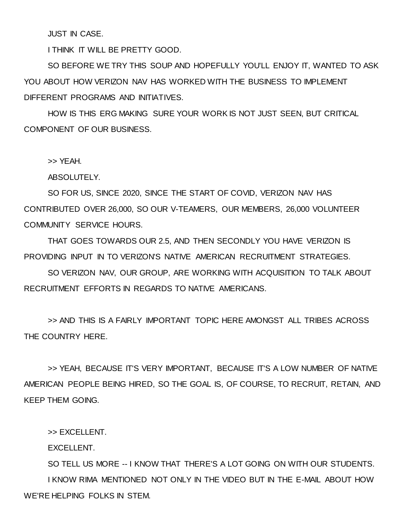JUST IN CASE.

I THINK IT WILL BE PRETTY GOOD.

SO BEFORE WE TRY THIS SOUP AND HOPEFULLY YOU'LL ENJOY IT, WANTED TO ASK YOU ABOUT HOW VERIZON NAV HAS WORKED WITH THE BUSINESS TO IMPLEMENT DIFFERENT PROGRAMS AND INITIATIVES.

HOW IS THIS ERG MAKING SURE YOUR WORK IS NOT JUST SEEN, BUT CRITICAL COMPONENT OF OUR BUSINESS.

>> YEAH.

ABSOLUTELY.

SO FOR US, SINCE 2020, SINCE THE START OF COVID, VERIZON NAV HAS CONTRIBUTED OVER 26,000, SO OUR V-TEAMERS, OUR MEMBERS, 26,000 VOLUNTEER COMMUNITY SERVICE HOURS.

THAT GOES TOWARDS OUR 2.5, AND THEN SECONDLY YOU HAVE VERIZON IS PROVIDING INPUT IN TO VERIZON'S NATIVE AMERICAN RECRUITMENT STRATEGIES.

SO VERIZON NAV, OUR GROUP, ARE WORKING WITH ACQUISITION TO TALK ABOUT RECRUITMENT EFFORTS IN REGARDS TO NATIVE AMERICANS.

>> AND THIS IS A FAIRLY IMPORTANT TOPIC HERE AMONGST ALL TRIBES ACROSS THE COUNTRY HERE.

>> YEAH, BECAUSE IT'S VERY IMPORTANT, BECAUSE IT'S A LOW NUMBER OF NATIVE AMERICAN PEOPLE BEING HIRED, SO THE GOAL IS, OF COURSE, TO RECRUIT, RETAIN, AND KEEP THEM GOING.

>> EXCELLENT.

EXCELLENT.

SO TELL US MORE -- I KNOW THAT THERE'S A LOT GOING ON WITH OUR STUDENTS. I KNOW RIMA MENTIONED NOT ONLY IN THE VIDEO BUT IN THE E-MAIL ABOUT HOW WE'RE HELPING FOLKS IN STEM.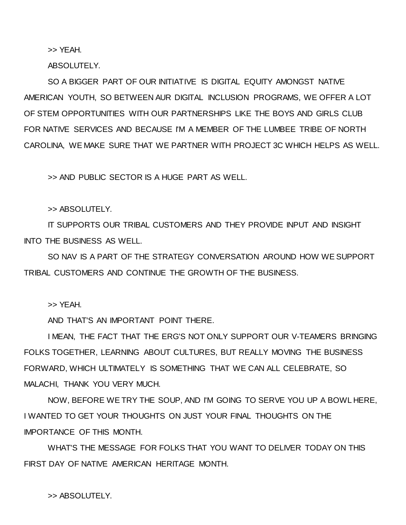>> YEAH.

ABSOLUTELY.

SO A BIGGER PART OF OUR INITIATIVE IS DIGITAL EQUITY AMONGST NATIVE AMERICAN YOUTH, SO BETWEEN AUR DIGITAL INCLUSION PROGRAMS, WE OFFER A LOT OF STEM OPPORTUNITIES WITH OUR PARTNERSHIPS LIKE THE BOYS AND GIRLS CLUB FOR NATIVE SERVICES AND BECAUSE I'M A MEMBER OF THE LUMBEE TRIBE OF NORTH CAROLINA, WE MAKE SURE THAT WE PARTNER WITH PROJECT 3C WHICH HELPS AS WELL.

>> AND PUBLIC SECTOR IS A HUGE PART AS WELL.

>> ABSOLUTELY.

IT SUPPORTS OUR TRIBAL CUSTOMERS AND THEY PROVIDE INPUT AND INSIGHT INTO THE BUSINESS AS WELL.

SO NAV IS A PART OF THE STRATEGY CONVERSATION AROUND HOW WE SUPPORT TRIBAL CUSTOMERS AND CONTINUE THE GROWTH OF THE BUSINESS.

>> YEAH.

AND THAT'S AN IMPORTANT POINT THERE.

I MEAN, THE FACT THAT THE ERG'S NOT ONLY SUPPORT OUR V-TEAMERS BRINGING FOLKS TOGETHER, LEARNING ABOUT CULTURES, BUT REALLY MOVING THE BUSINESS FORWARD, WHICH ULTIMATELY IS SOMETHING THAT WE CAN ALL CELEBRATE, SO MALACHI, THANK YOU VERY MUCH.

NOW, BEFORE WE TRY THE SOUP, AND I'M GOING TO SERVE YOU UP A BOWL HERE, I WANTED TO GET YOUR THOUGHTS ON JUST YOUR FINAL THOUGHTS ON THE IMPORTANCE OF THIS MONTH.

WHAT'S THE MESSAGE FOR FOLKS THAT YOU WANT TO DELIVER TODAY ON THIS FIRST DAY OF NATIVE AMERICAN HERITAGE MONTH.

>> ABSOLUTELY.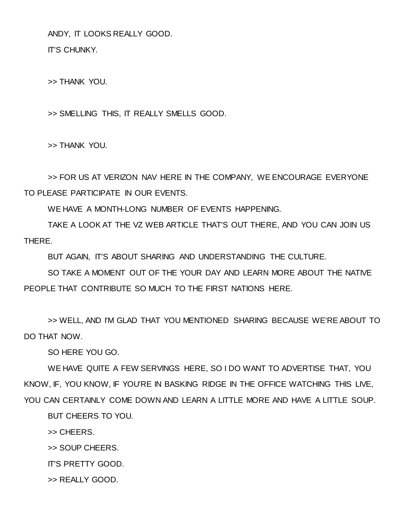ANDY, IT LOOKS REALLY GOOD.

IT'S CHUNKY.

>> THANK YOU.

>> SMELLING THIS, IT REALLY SMELLS GOOD.

>> THANK YOU.

>> FOR US AT VERIZON NAV HERE IN THE COMPANY, WE ENCOURAGE EVERYONE TO PLEASE PARTICIPATE IN OUR EVENTS.

WE HAVE A MONTH-LONG NUMBER OF EVENTS HAPPENING.

TAKE A LOOK AT THE VZ WEB ARTICLE THAT'S OUT THERE, AND YOU CAN JOIN US THERE.

BUT AGAIN, IT'S ABOUT SHARING AND UNDERSTANDING THE CULTURE.

SO TAKE A MOMENT OUT OF THE YOUR DAY AND LEARN MORE ABOUT THE NATIVE PEOPLE THAT CONTRIBUTE SO MUCH TO THE FIRST NATIONS HERE.

>> WELL, AND I'M GLAD THAT YOU MENTIONED SHARING BECAUSE WE'RE ABOUT TO DO THAT NOW.

SO HERE YOU GO.

WE HAVE QUITE A FEW SERVINGS HERE, SO I DO WANT TO ADVERTISE THAT, YOU KNOW, IF, YOU KNOW, IF YOU'RE IN BASKING RIDGE IN THE OFFICE WATCHING THIS LIVE, YOU CAN CERTAINLY COME DOWN AND LEARN A LITTLE MORE AND HAVE A LITTLE SOUP.

BUT CHEERS TO YOU.

>> CHEERS.

>> SOUP CHEERS.

IT'S PRETTY GOOD.

>> REALLY GOOD.